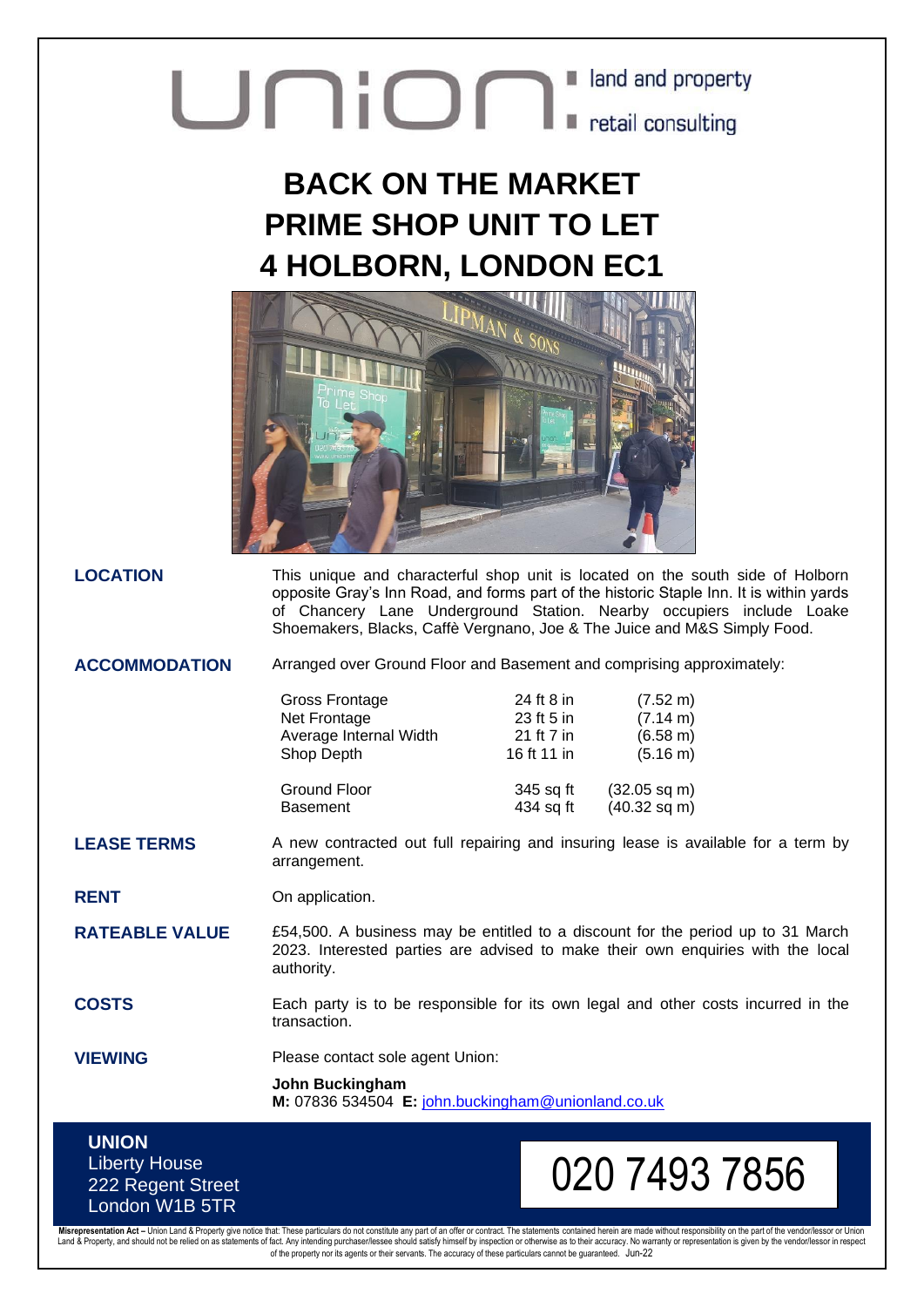## **Union** Liand and property

## **BACK ON THE MARKET PRIME SHOP UNIT TO LET 4 HOLBORN, LONDON EC1**



**LOCATION** This unique and characterful shop unit is located on the south side of Holborn opposite Gray's Inn Road, and forms part of the historic Staple Inn. It is within yards of Chancery Lane Underground Station. Nearby occupiers include Loake Shoemakers, Blacks, Caffè Vergnano, Joe & The Juice and M&S Simply Food.

**ACCOMMODATION** Arranged over Ground Floor and Basement and comprising approximately:

| Gross Frontage         | 24 ft 8 in  | $(7.52 \text{ m})$ |
|------------------------|-------------|--------------------|
| Net Frontage           | 23 ft 5 in  | (7.14 m)           |
| Average Internal Width | 21 ft 7 in  | (6.58 m)           |
| Shop Depth             | 16 ft 11 in | (5.16 m)           |
| <b>Ground Floor</b>    | 345 sq ft   | $(32.05$ sq m)     |
| <b>Basement</b>        | 434 sq ft   | $(40.32$ sq m)     |

**LEASE TERMS** A new contracted out full repairing and insuring lease is available for a term by arrangement.

**RENT** On application.

**RATEABLE VALUE** E54,500. A business may be entitled to a discount for the period up to 31 March 2023. Interested parties are advised to make their own enquiries with the local authority.

**COSTS** Each party is to be responsible for its own legal and other costs incurred in the transaction.

**VIEWING** Please contact sole agent Union:

**John Buckingham M:** 07836 534504 **E:** [john.buckingham@unionland.co.uk](mailto:john.buckingham@unionland.co.uk)

## **UNION** Liberty House 222 Regent Street London W1B 5TR

## 020 7493 7856

Misrepresentation Act – Union Land & Property give notice that: These particulars do not constitute any part of an offer or contract. The statements contained herein are made without responsibility on the part of the vendo of the property nor its agents or their servants. The accuracy of these particulars cannot be guaranteed. Jun-22